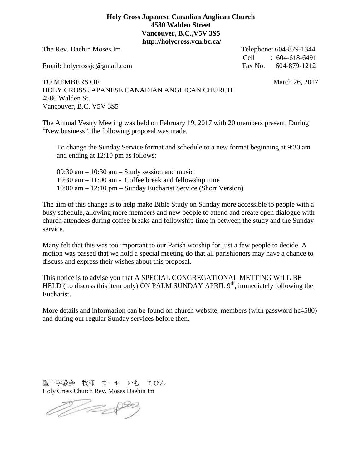## **Holy Cross Japanese Canadian Anglican Church 4580 Walden Street Vancouver, B.C.,V5V 3S5 http://holycross.vcn.bc.ca/**

The Rev. Daebin Moses Im Telephone: 604-879-1344

Email: holycrossjc@gmail.com Fax No. 604-879-1212

Cell : 604-618-6491

TO MEMBERS OF: March 26, 2017 HOLY CROSS JAPANESE CANADIAN ANGLICAN CHURCH 4580 Walden St. Vancouver, B.C. V5V 3S5

The Annual Vestry Meeting was held on February 19, 2017 with 20 members present. During "New business", the following proposal was made.

 To change the Sunday Service format and schedule to a new format beginning at 9:30 am and ending at 12:10 pm as follows:

 $09:30$  am  $-10:30$  am  $-$  Study session and music 10:30 am – 11:00 am - Coffee break and fellowship time 10:00 am – 12:10 pm – Sunday Eucharist Service (Short Version)

The aim of this change is to help make Bible Study on Sunday more accessible to people with a busy schedule, allowing more members and new people to attend and create open dialogue with church attendees during coffee breaks and fellowship time in between the study and the Sunday service.

Many felt that this was too important to our Parish worship for just a few people to decide. A motion was passed that we hold a special meeting do that all parishioners may have a chance to discuss and express their wishes about this proposal.

This notice is to advise you that A SPECIAL CONGREGATIONAL METTING WILL BE HELD ( to discuss this item only) ON PALM SUNDAY APRIL  $9<sup>th</sup>$ , immediately following the Eucharist.

More details and information can be found on church website, members (with password hc4580) and during our regular Sunday services before then.

聖十字教会 牧師 モーセ いむ てびん Holy Cross Church Rev. Moses Daebin Im

Martha